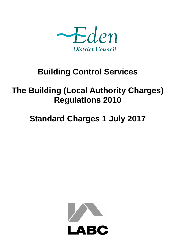

## **Building Control Services**

## **The Building (Local Authority Charges) Regulations 2010**

# **Standard Charges 1 July 2017**

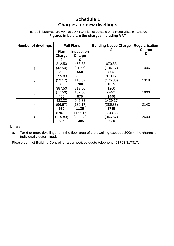## **Schedule 1 Charges for new dwellings**

#### Figures in brackets are VAT at 20% (VAT is not payable on a Regularisation Charge) **Figures in bold are the charges including VAT**

| <b>Number of dwellings</b> | <b>Full Plans</b>          |                                  | <b>Building Notice Charge</b> | <b>Regularisation</b> |
|----------------------------|----------------------------|----------------------------------|-------------------------------|-----------------------|
|                            | <b>Plan</b><br>Charge<br>£ | <b>Inspection</b><br>Charge<br>£ | £                             | Charge<br>£           |
|                            | 212.50<br>(42.50)<br>255   | 458.33<br>(91.67)<br>550         | 670.83<br>(134.17)<br>805     | 1006                  |
| 2                          | 295.83<br>(59.17)<br>355   | 583.33<br>(116.67)<br>700        | 879.17<br>(175.83)<br>1055    | 1318                  |
| 3                          | 387.50<br>(77.50)<br>465   | 812.50<br>(162.50)<br>975        | 1200<br>(240)<br>1440         | 1800                  |
| $\overline{4}$             | 483.33<br>(96.67)<br>580   | 945.83<br>(189.17)<br>1135       | 1429.17<br>(285.83)<br>1715   | 2143                  |
| 5                          | 579.17<br>(115.83)<br>695  | 1154.17<br>(230.83)<br>1385      | 1733.33<br>(346.67)<br>2080   | 2600                  |

#### **Notes:**

a. For 6 or more dwellings, or if the floor area of the dwelling exceeds  $300m^2$ , the charge is individually determined.

Please contact Building Control for a competitive quote telephone: 01768 817817.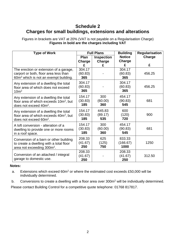## **Schedule 2 Charges for small buildings, extensions and alterations**

Figures in brackets are VAT at 20% (VAT is not payable on a Regularisation Charge) **Figures in bold are the charges including VAT**

| <b>Type of Work</b>                                                                                                                  |                               | <b>Full Plans</b>           | <b>Building</b>              | <b>Regularisation</b> |
|--------------------------------------------------------------------------------------------------------------------------------------|-------------------------------|-----------------------------|------------------------------|-----------------------|
|                                                                                                                                      | Plan<br>Charge                | <b>Inspection</b><br>Charge | <b>Notice</b><br>Charge<br>£ | Charge<br>£           |
| The erection or extension of a garage,<br>carport or both, floor area less than<br>60m <sup>2</sup> which is not an exempt building. | £<br>304.17<br>(60.83)<br>365 | £                           | 304.17<br>(60.83)<br>365     | 456.25                |
| Any extension of a dwelling the total<br>floor area of which does not exceed<br>10 <sup>m²</sup>                                     | 304.17<br>(60.83)<br>365      |                             | 304.17<br>(60.83)<br>365     | 456.25                |
| Any extension of a dwelling the total<br>floor area of which exceeds $10m^2$ , but<br>does not exceed 40m <sup>2</sup> .             | 154.17<br>(30.83)<br>185      | 300<br>(60.00)<br>360       | 454.17<br>(90.83)<br>545     | 681                   |
| Any extension of a dwelling the total<br>floor area of which exceeds 40m <sup>2</sup> , but<br>does not exceed 60m <sup>2</sup> .    | 154.17<br>(30.83)<br>185      | 445.83<br>(89.17)<br>535    | 600<br>(120)<br>720          | 900                   |
| A loft conversion - alteration of a<br>dwelling to provide one or more rooms<br>in a roof space.                                     | 154.17<br>(30.83)<br>185      | 300<br>(60.00)<br>360       | 454.17<br>(90.83)<br>545     | 681                   |
| Conversion of a barn or other building<br>to create a dwelling with a total floor<br>area not exceeding 300m <sup>2</sup> .          | 208.33<br>(41.67)<br>250      | 625<br>(125)<br>750         | 833.33<br>(166.67)<br>1000   | 1250                  |
| Conversion of an attached / integral<br>garage to domestic use.                                                                      | 208.33<br>(41.67)<br>250      |                             | 208.33<br>(41.67)<br>250     | 312.50                |

#### **Notes:**

- a. Extensions which exceed 60m<sup>2</sup> or where the estimated cost exceeds £50,000 will be individually determined.
- b. Conversions to create a dwelling with a floor area over 300m<sup>2</sup> will be individually determined.

Please contact Building Control for a competitive quote telephone: 01768 817817.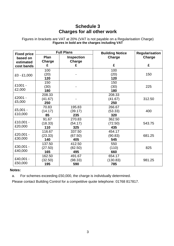## **Schedule 3 Charges for all other work**

Figures in brackets are VAT at 20% (VAT is not payable on a Regularisation Charge) **Figures in bold are the charges including VAT**

| <b>Fixed price</b>    |                | <b>Full Plans</b>           | <b>Building Notice</b> | <b>Regularisation</b> |  |
|-----------------------|----------------|-----------------------------|------------------------|-----------------------|--|
| based on<br>estimated | Plan<br>Charge | <b>Inspection</b><br>Charge | Charge                 | Charge                |  |
| cost bands            | £              | £                           | £                      | £                     |  |
| $£0 - £1,000$         | 100            |                             | 100                    |                       |  |
|                       | (20)           |                             | (20)                   | 150                   |  |
|                       | 120            |                             | 120                    |                       |  |
|                       | 150            |                             | 150                    |                       |  |
| £1001 -               | (30)           |                             | (30)                   | 225                   |  |
| £2,000                | 180            |                             | 180                    |                       |  |
| £2001 -<br>£5,000     | 208.33         |                             | 208.33                 |                       |  |
|                       | (41.67)        |                             | (41.67)                | 312.50                |  |
|                       | 250            |                             | 250                    |                       |  |
|                       | 70.83          | 195.83                      | 266.67                 |                       |  |
| £5,001 -              | (14.17)        | (39.17)                     | (53.33)                | 400                   |  |
| £10,000               | 85             | 235                         | 320                    |                       |  |
| £10,001 -<br>£20,000  | 91.67          | 270.83                      | 362.50                 | 543.75                |  |
|                       | (18.33)        | (54.17)                     | (72.50)                |                       |  |
|                       | 110            | 325                         | 435                    |                       |  |
| £20,001 -<br>£30,000  | 116.67         | 337.50                      | 454.17                 | 681.25                |  |
|                       | (23.33)        | (67.50)                     | (90.83)                |                       |  |
|                       | 140            | 405                         | 545                    |                       |  |
| £30,001 -<br>£40,000  | 137.50         | 412.50                      | 550                    |                       |  |
|                       | (27.50)        | (82.50)                     | (110)                  | 825                   |  |
|                       | 165            | 495                         | 660                    |                       |  |
| £40,001 -<br>£50,000  | 162.50         | 491.67                      | 654.17                 |                       |  |
|                       | (32.50)        | (98.33)                     | (130.83)               | 981.25                |  |
|                       | 195            | 590                         | 785                    |                       |  |

#### **Notes:**

a. For schemes exceeding £50,000, the charge is individually determined.

Please contact Building Control for a competitive quote telephone: 01768 817817.